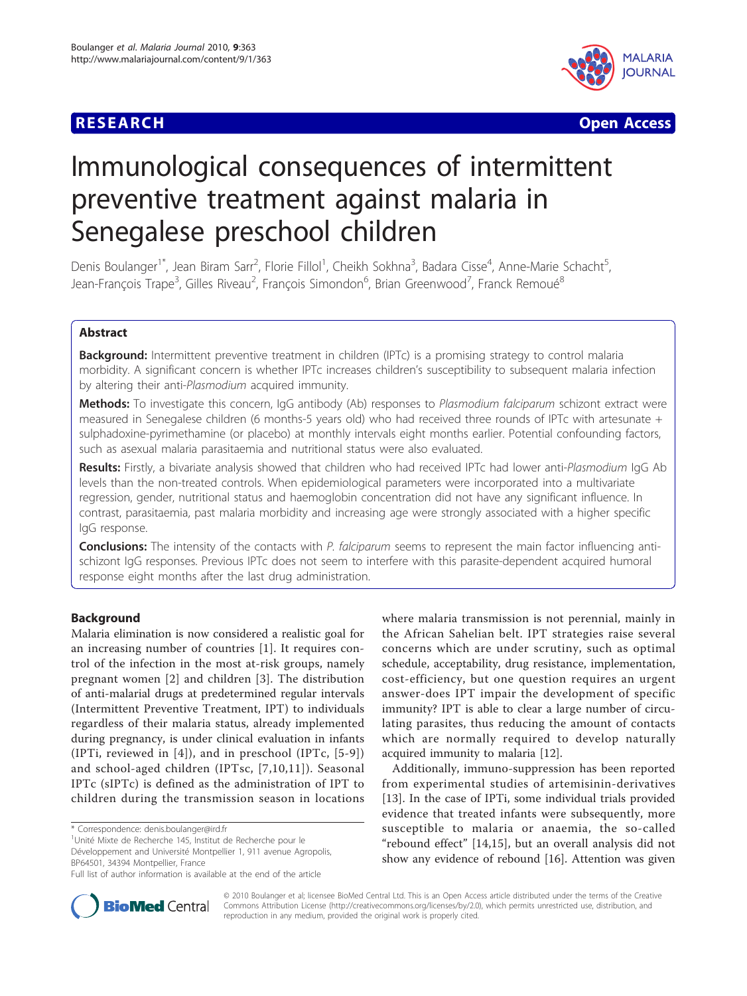



# Immunological consequences of intermittent preventive treatment against malaria in Senegalese preschool children

Denis Boulanger<sup>1\*</sup>, Jean Biram Sarr<sup>2</sup>, Florie Fillol<sup>1</sup>, Cheikh Sokhna<sup>3</sup>, Badara Cisse<sup>4</sup>, Anne-Marie Schacht<sup>5</sup> , Jean-François Trape<sup>3</sup>, Gilles Riveau<sup>2</sup>, François Simondon<sup>6</sup>, Brian Greenwood<sup>7</sup>, Franck Remoué<sup>8</sup>

# Abstract

**Background:** Intermittent preventive treatment in children (IPTc) is a promising strategy to control malaria morbidity. A significant concern is whether IPTc increases children's susceptibility to subsequent malaria infection by altering their anti-Plasmodium acquired immunity.

Methods: To investigate this concern, IgG antibody (Ab) responses to Plasmodium falciparum schizont extract were measured in Senegalese children (6 months-5 years old) who had received three rounds of IPTc with artesunate + sulphadoxine-pyrimethamine (or placebo) at monthly intervals eight months earlier. Potential confounding factors, such as asexual malaria parasitaemia and nutritional status were also evaluated.

Results: Firstly, a bivariate analysis showed that children who had received IPTc had lower anti-Plasmodium IgG Ab levels than the non-treated controls. When epidemiological parameters were incorporated into a multivariate regression, gender, nutritional status and haemoglobin concentration did not have any significant influence. In contrast, parasitaemia, past malaria morbidity and increasing age were strongly associated with a higher specific IgG response.

**Conclusions:** The intensity of the contacts with P. falciparum seems to represent the main factor influencing antischizont IgG responses. Previous IPTc does not seem to interfere with this parasite-dependent acquired humoral response eight months after the last drug administration.

# Background

Malaria elimination is now considered a realistic goal for an increasing number of countries [[1\]](#page-6-0). It requires control of the infection in the most at-risk groups, namely pregnant women [[2](#page-6-0)] and children [[3](#page-6-0)]. The distribution of anti-malarial drugs at predetermined regular intervals (Intermittent Preventive Treatment, IPT) to individuals regardless of their malaria status, already implemented during pregnancy, is under clinical evaluation in infants (IPTi, reviewed in [[4\]](#page-6-0)), and in preschool (IPTc, [[5-9\]](#page-6-0)) and school-aged children (IPTsc, [\[7,10](#page-6-0),[11](#page-6-0)]). Seasonal IPTc (sIPTc) is defined as the administration of IPT to children during the transmission season in locations

where malaria transmission is not perennial, mainly in the African Sahelian belt. IPT strategies raise several concerns which are under scrutiny, such as optimal schedule, acceptability, drug resistance, implementation, cost-efficiency, but one question requires an urgent answer-does IPT impair the development of specific immunity? IPT is able to clear a large number of circulating parasites, thus reducing the amount of contacts which are normally required to develop naturally acquired immunity to malaria [[12](#page-6-0)].

Additionally, immuno-suppression has been reported from experimental studies of artemisinin-derivatives [[13\]](#page-6-0). In the case of IPTi, some individual trials provided evidence that treated infants were subsequently, more susceptible to malaria or anaemia, the so-called "rebound effect" [[14,15\]](#page-6-0), but an overall analysis did not show any evidence of rebound [\[16](#page-6-0)]. Attention was given



© 2010 Boulanger et al; licensee BioMed Central Ltd. This is an Open Access article distributed under the terms of the Creative Commons Attribution License [\(http://creativecommons.org/licenses/by/2.0](http://creativecommons.org/licenses/by/2.0)), which permits unrestricted use, distribution, and reproduction in any medium, provided the original work is properly cited.

<sup>\*</sup> Correspondence: [denis.boulanger@ird.fr](mailto:denis.boulanger@ird.fr)

<sup>&</sup>lt;sup>1</sup>Unité Mixte de Recherche 145, Institut de Recherche pour le Développement and Université Montpellier 1, 911 avenue Agropolis, BP64501, 34394 Montpellier, France

Full list of author information is available at the end of the article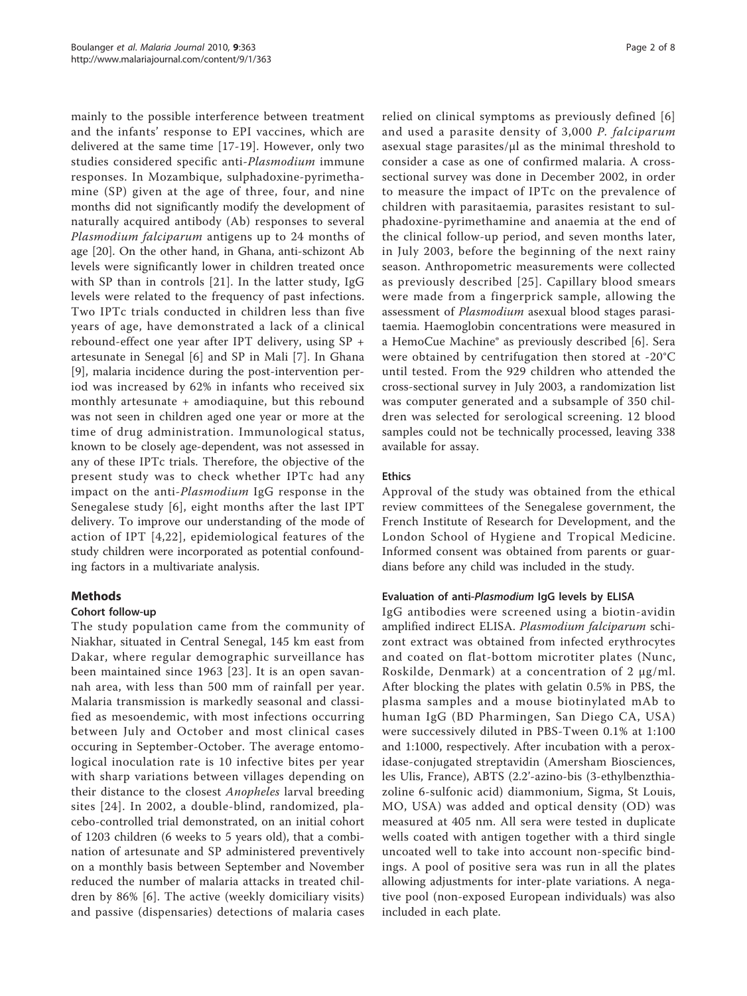mainly to the possible interference between treatment and the infants' response to EPI vaccines, which are delivered at the same time [[17](#page-7-0)-[19](#page-7-0)]. However, only two studies considered specific anti-Plasmodium immune responses. In Mozambique, sulphadoxine-pyrimethamine (SP) given at the age of three, four, and nine months did not significantly modify the development of naturally acquired antibody (Ab) responses to several Plasmodium falciparum antigens up to 24 months of age [[20\]](#page-7-0). On the other hand, in Ghana, anti-schizont Ab levels were significantly lower in children treated once with SP than in controls [[21\]](#page-7-0). In the latter study, IgG levels were related to the frequency of past infections. Two IPTc trials conducted in children less than five years of age, have demonstrated a lack of a clinical rebound-effect one year after IPT delivery, using SP + artesunate in Senegal [[6](#page-6-0)] and SP in Mali [[7\]](#page-6-0). In Ghana [[9\]](#page-6-0), malaria incidence during the post-intervention period was increased by 62% in infants who received six monthly artesunate + amodiaquine, but this rebound was not seen in children aged one year or more at the time of drug administration. Immunological status, known to be closely age-dependent, was not assessed in any of these IPTc trials. Therefore, the objective of the present study was to check whether IPTc had any impact on the anti-Plasmodium IgG response in the Senegalese study [[6\]](#page-6-0), eight months after the last IPT delivery. To improve our understanding of the mode of action of IPT [[4](#page-6-0),[22](#page-7-0)], epidemiological features of the study children were incorporated as potential confounding factors in a multivariate analysis.

# Methods

# Cohort follow-up

The study population came from the community of Niakhar, situated in Central Senegal, 145 km east from Dakar, where regular demographic surveillance has been maintained since 1963 [[23](#page-7-0)]. It is an open savannah area, with less than 500 mm of rainfall per year. Malaria transmission is markedly seasonal and classified as mesoendemic, with most infections occurring between July and October and most clinical cases occuring in September-October. The average entomological inoculation rate is 10 infective bites per year with sharp variations between villages depending on their distance to the closest *Anopheles* larval breeding sites [\[24](#page-7-0)]. In 2002, a double-blind, randomized, placebo-controlled trial demonstrated, on an initial cohort of 1203 children (6 weeks to 5 years old), that a combination of artesunate and SP administered preventively on a monthly basis between September and November reduced the number of malaria attacks in treated children by 86% [[6\]](#page-6-0). The active (weekly domiciliary visits) and passive (dispensaries) detections of malaria cases relied on clinical symptoms as previously defined [[6](#page-6-0)] and used a parasite density of 3,000 P. falciparum asexual stage parasites/μl as the minimal threshold to consider a case as one of confirmed malaria. A crosssectional survey was done in December 2002, in order to measure the impact of IPTc on the prevalence of children with parasitaemia, parasites resistant to sulphadoxine-pyrimethamine and anaemia at the end of the clinical follow-up period, and seven months later, in July 2003, before the beginning of the next rainy season. Anthropometric measurements were collected as previously described [[25](#page-7-0)]. Capillary blood smears were made from a fingerprick sample, allowing the assessment of Plasmodium asexual blood stages parasitaemia. Haemoglobin concentrations were measured in a HemoCue Machine® as previously described [[6\]](#page-6-0). Sera were obtained by centrifugation then stored at -20°C until tested. From the 929 children who attended the cross-sectional survey in July 2003, a randomization list was computer generated and a subsample of 350 children was selected for serological screening. 12 blood samples could not be technically processed, leaving 338 available for assay.

# Ethics

Approval of the study was obtained from the ethical review committees of the Senegalese government, the French Institute of Research for Development, and the London School of Hygiene and Tropical Medicine. Informed consent was obtained from parents or guardians before any child was included in the study.

# Evaluation of anti-Plasmodium IgG levels by ELISA

IgG antibodies were screened using a biotin-avidin amplified indirect ELISA. Plasmodium falciparum schizont extract was obtained from infected erythrocytes and coated on flat-bottom microtiter plates (Nunc, Roskilde, Denmark) at a concentration of 2 μg/ml. After blocking the plates with gelatin 0.5% in PBS, the plasma samples and a mouse biotinylated mAb to human IgG (BD Pharmingen, San Diego CA, USA) were successively diluted in PBS-Tween 0.1% at 1:100 and 1:1000, respectively. After incubation with a peroxidase-conjugated streptavidin (Amersham Biosciences, les Ulis, France), ABTS (2.2'-azino-bis (3-ethylbenzthiazoline 6-sulfonic acid) diammonium, Sigma, St Louis, MO, USA) was added and optical density (OD) was measured at 405 nm. All sera were tested in duplicate wells coated with antigen together with a third single uncoated well to take into account non-specific bindings. A pool of positive sera was run in all the plates allowing adjustments for inter-plate variations. A negative pool (non-exposed European individuals) was also included in each plate.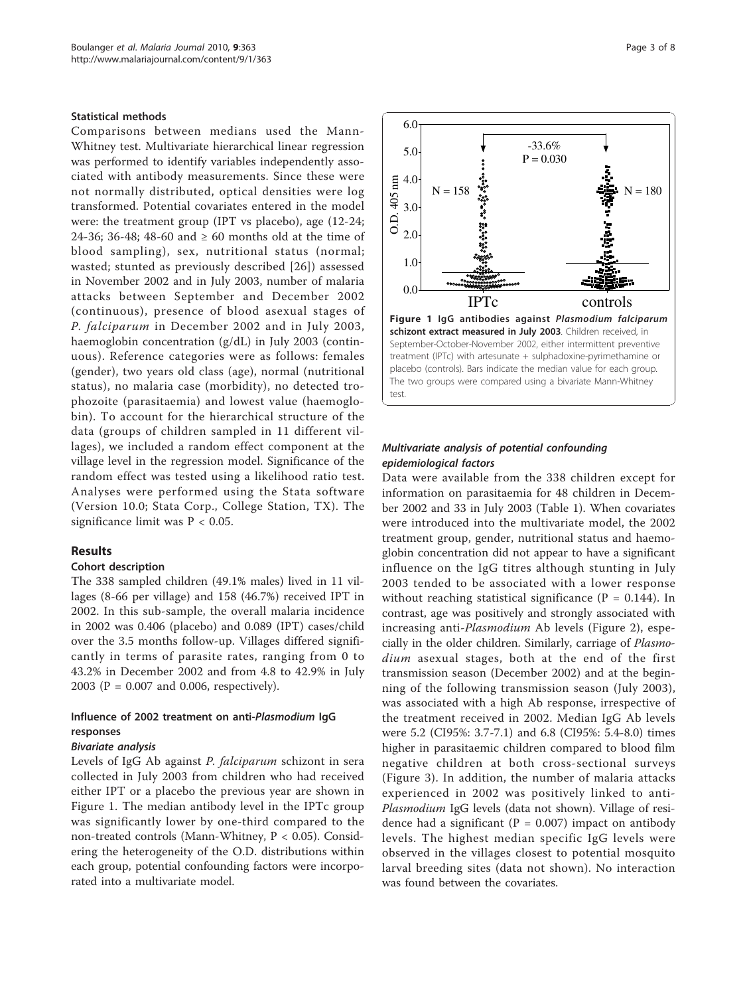### Statistical methods

Comparisons between medians used the Mann-Whitney test. Multivariate hierarchical linear regression was performed to identify variables independently associated with antibody measurements. Since these were not normally distributed, optical densities were log transformed. Potential covariates entered in the model were: the treatment group (IPT vs placebo), age (12-24; 24-36; 36-48; 48-60 and  $\geq 60$  months old at the time of blood sampling), sex, nutritional status (normal; wasted; stunted as previously described [[26\]](#page-7-0)) assessed in November 2002 and in July 2003, number of malaria attacks between September and December 2002 (continuous), presence of blood asexual stages of P. falciparum in December 2002 and in July 2003, haemoglobin concentration (g/dL) in July 2003 (continuous). Reference categories were as follows: females (gender), two years old class (age), normal (nutritional status), no malaria case (morbidity), no detected trophozoite (parasitaemia) and lowest value (haemoglobin). To account for the hierarchical structure of the data (groups of children sampled in 11 different villages), we included a random effect component at the village level in the regression model. Significance of the random effect was tested using a likelihood ratio test. Analyses were performed using the Stata software (Version 10.0; Stata Corp., College Station, TX). The significance limit was P < 0.05.

#### Results

#### Cohort description

The 338 sampled children (49.1% males) lived in 11 villages (8-66 per village) and 158 (46.7%) received IPT in 2002. In this sub-sample, the overall malaria incidence in 2002 was 0.406 (placebo) and 0.089 (IPT) cases/child over the 3.5 months follow-up. Villages differed significantly in terms of parasite rates, ranging from 0 to 43.2% in December 2002 and from 4.8 to 42.9% in July 2003 (P = 0.007 and 0.006, respectively).

# Influence of 2002 treatment on anti-Plasmodium IgG responses

#### Bivariate analysis

Levels of IgG Ab against P. falciparum schizont in sera collected in July 2003 from children who had received either IPT or a placebo the previous year are shown in Figure 1. The median antibody level in the IPTc group was significantly lower by one-third compared to the non-treated controls (Mann-Whitney,  $P < 0.05$ ). Considering the heterogeneity of the O.D. distributions within each group, potential confounding factors were incorporated into a multivariate model.



## Multivariate analysis of potential confounding epidemiological factors

Data were available from the 338 children except for information on parasitaemia for 48 children in December 2002 and 33 in July 2003 (Table [1\)](#page-3-0). When covariates were introduced into the multivariate model, the 2002 treatment group, gender, nutritional status and haemoglobin concentration did not appear to have a significant influence on the IgG titres although stunting in July 2003 tended to be associated with a lower response without reaching statistical significance ( $P = 0.144$ ). In contrast, age was positively and strongly associated with increasing anti-Plasmodium Ab levels (Figure [2\)](#page-4-0), especially in the older children. Similarly, carriage of Plasmodium asexual stages, both at the end of the first transmission season (December 2002) and at the beginning of the following transmission season (July 2003), was associated with a high Ab response, irrespective of the treatment received in 2002. Median IgG Ab levels were 5.2 (CI95%: 3.7-7.1) and 6.8 (CI95%: 5.4-8.0) times higher in parasitaemic children compared to blood film negative children at both cross-sectional surveys (Figure [3](#page-5-0)). In addition, the number of malaria attacks experienced in 2002 was positively linked to anti-Plasmodium IgG levels (data not shown). Village of residence had a significant ( $P = 0.007$ ) impact on antibody levels. The highest median specific IgG levels were observed in the villages closest to potential mosquito larval breeding sites (data not shown). No interaction was found between the covariates.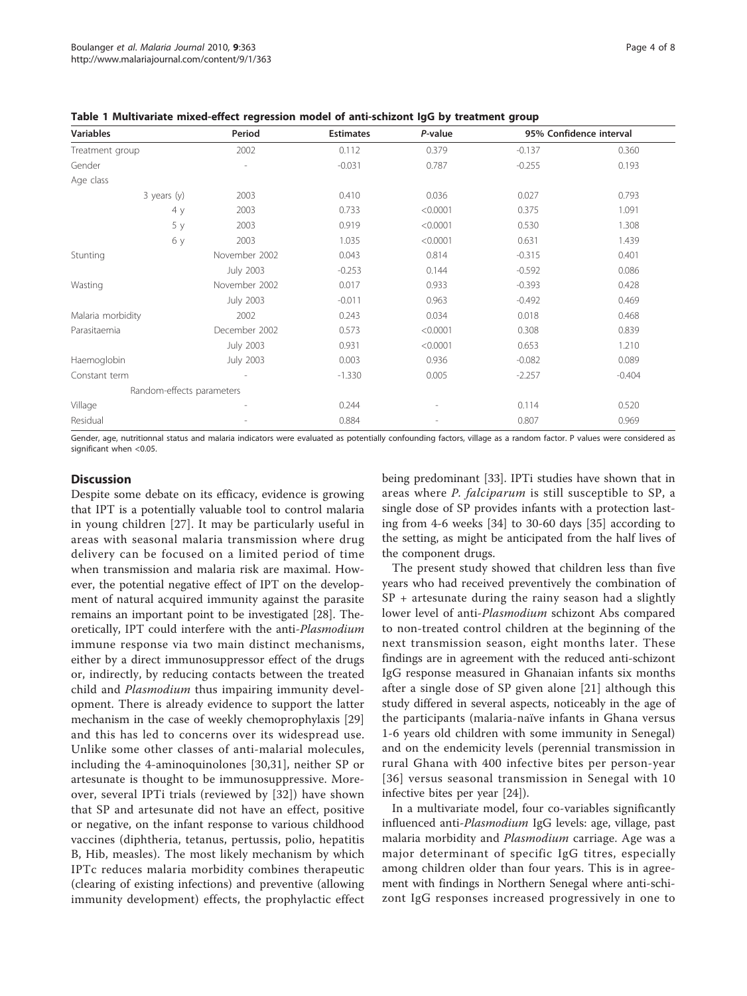<span id="page-3-0"></span>

| <b>Variables</b>          | Period           | <b>Estimates</b> | P-value  | 95% Confidence interval |          |
|---------------------------|------------------|------------------|----------|-------------------------|----------|
| Treatment group           | 2002             | 0.112            | 0.379    | $-0.137$                | 0.360    |
| Gender                    | L,               | $-0.031$         | 0.787    | $-0.255$                | 0.193    |
| Age class                 |                  |                  |          |                         |          |
| $3$ years (y)             | 2003             | 0.410            | 0.036    | 0.027                   | 0.793    |
| 4 y                       | 2003             | 0.733            | < 0.0001 | 0.375                   | 1.091    |
| 5 y                       | 2003             | 0.919            | < 0.0001 | 0.530                   | 1.308    |
| 6у                        | 2003             | 1.035            | < 0.0001 | 0.631                   | 1.439    |
| Stunting                  | November 2002    | 0.043            | 0.814    | $-0.315$                | 0.401    |
|                           | <b>July 2003</b> | $-0.253$         | 0.144    | $-0.592$                | 0.086    |
| Wasting                   | November 2002    | 0.017            | 0.933    | $-0.393$                | 0.428    |
|                           | <b>July 2003</b> | $-0.011$         | 0.963    | $-0.492$                | 0.469    |
| Malaria morbidity         | 2002             | 0.243            | 0.034    | 0.018                   | 0.468    |
| Parasitaemia              | December 2002    | 0.573            | < 0.0001 | 0.308                   | 0.839    |
|                           | <b>July 2003</b> | 0.931            | < 0.0001 | 0.653                   | 1.210    |
| Haemoglobin               | <b>July 2003</b> | 0.003            | 0.936    | $-0.082$                | 0.089    |
| Constant term             |                  | $-1.330$         | 0.005    | $-2.257$                | $-0.404$ |
| Random-effects parameters |                  |                  |          |                         |          |
| Village                   |                  | 0.244            |          | 0.114                   | 0.520    |
| Residual                  |                  | 0.884            |          | 0.807                   | 0.969    |

Gender, age, nutritionnal status and malaria indicators were evaluated as potentially confounding factors, village as a random factor. P values were considered as significant when <0.05.

## **Discussion**

Despite some debate on its efficacy, evidence is growing that IPT is a potentially valuable tool to control malaria in young children [[27](#page-7-0)]. It may be particularly useful in areas with seasonal malaria transmission where drug delivery can be focused on a limited period of time when transmission and malaria risk are maximal. However, the potential negative effect of IPT on the development of natural acquired immunity against the parasite remains an important point to be investigated [[28](#page-7-0)]. Theoretically, IPT could interfere with the anti-Plasmodium immune response via two main distinct mechanisms, either by a direct immunosuppressor effect of the drugs or, indirectly, by reducing contacts between the treated child and *Plasmodium* thus impairing immunity development. There is already evidence to support the latter mechanism in the case of weekly chemoprophylaxis [[29](#page-7-0)] and this has led to concerns over its widespread use. Unlike some other classes of anti-malarial molecules, including the 4-aminoquinolones [\[30,31\]](#page-7-0), neither SP or artesunate is thought to be immunosuppressive. Moreover, several IPTi trials (reviewed by [\[32\]](#page-7-0)) have shown that SP and artesunate did not have an effect, positive or negative, on the infant response to various childhood vaccines (diphtheria, tetanus, pertussis, polio, hepatitis B, Hib, measles). The most likely mechanism by which IPTc reduces malaria morbidity combines therapeutic (clearing of existing infections) and preventive (allowing immunity development) effects, the prophylactic effect being predominant [\[33\]](#page-7-0). IPTi studies have shown that in areas where P. falciparum is still susceptible to SP, a single dose of SP provides infants with a protection lasting from 4-6 weeks [[34](#page-7-0)] to 30-60 days [[35](#page-7-0)] according to the setting, as might be anticipated from the half lives of the component drugs.

The present study showed that children less than five years who had received preventively the combination of SP + artesunate during the rainy season had a slightly lower level of anti-Plasmodium schizont Abs compared to non-treated control children at the beginning of the next transmission season, eight months later. These findings are in agreement with the reduced anti-schizont IgG response measured in Ghanaian infants six months after a single dose of SP given alone [[21](#page-7-0)] although this study differed in several aspects, noticeably in the age of the participants (malaria-naïve infants in Ghana versus 1-6 years old children with some immunity in Senegal) and on the endemicity levels (perennial transmission in rural Ghana with 400 infective bites per person-year [[36\]](#page-7-0) versus seasonal transmission in Senegal with 10 infective bites per year [[24\]](#page-7-0)).

In a multivariate model, four co-variables significantly influenced anti-*Plasmodium* IgG levels: age, village, past malaria morbidity and Plasmodium carriage. Age was a major determinant of specific IgG titres, especially among children older than four years. This is in agreement with findings in Northern Senegal where anti-schizont IgG responses increased progressively in one to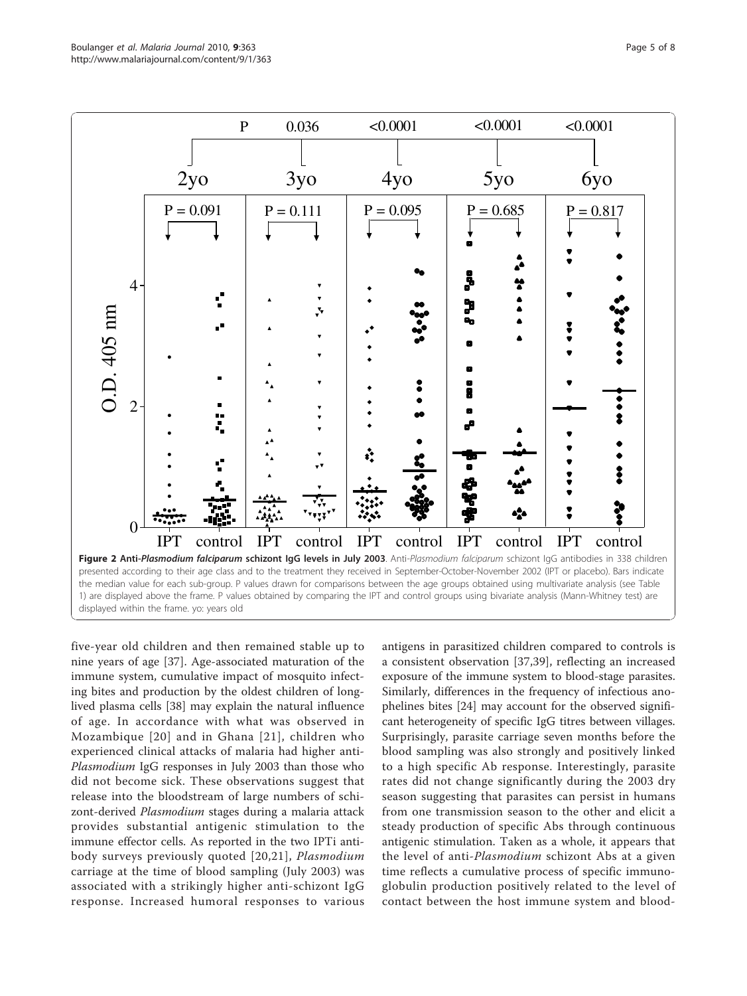<span id="page-4-0"></span>

five-year old children and then remained stable up to nine years of age [[37\]](#page-7-0). Age-associated maturation of the immune system, cumulative impact of mosquito infecting bites and production by the oldest children of longlived plasma cells [\[38](#page-7-0)] may explain the natural influence of age. In accordance with what was observed in Mozambique [[20](#page-7-0)] and in Ghana [[21](#page-7-0)], children who experienced clinical attacks of malaria had higher anti-Plasmodium IgG responses in July 2003 than those who did not become sick. These observations suggest that release into the bloodstream of large numbers of schizont-derived Plasmodium stages during a malaria attack provides substantial antigenic stimulation to the immune effector cells. As reported in the two IPTi antibody surveys previously quoted [\[20,21\]](#page-7-0), Plasmodium carriage at the time of blood sampling (July 2003) was associated with a strikingly higher anti-schizont IgG response. Increased humoral responses to various

antigens in parasitized children compared to controls is a consistent observation [[37,39](#page-7-0)], reflecting an increased exposure of the immune system to blood-stage parasites. Similarly, differences in the frequency of infectious anophelines bites [\[24](#page-7-0)] may account for the observed significant heterogeneity of specific IgG titres between villages. Surprisingly, parasite carriage seven months before the blood sampling was also strongly and positively linked to a high specific Ab response. Interestingly, parasite rates did not change significantly during the 2003 dry season suggesting that parasites can persist in humans from one transmission season to the other and elicit a steady production of specific Abs through continuous antigenic stimulation. Taken as a whole, it appears that the level of anti-*Plasmodium* schizont Abs at a given time reflects a cumulative process of specific immunoglobulin production positively related to the level of contact between the host immune system and blood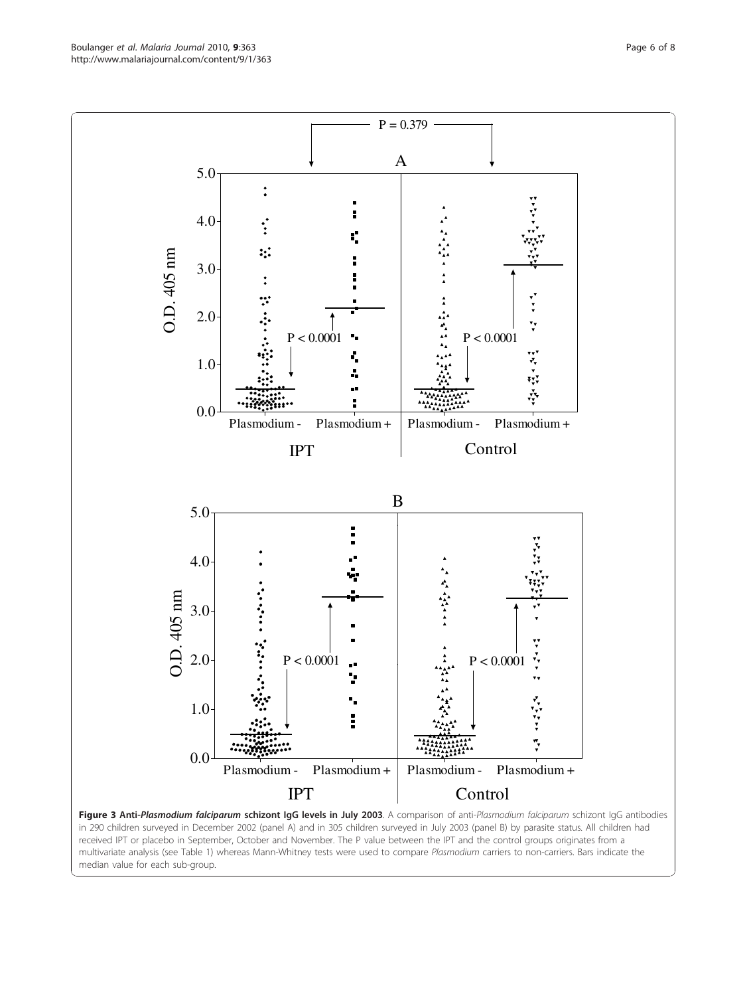<span id="page-5-0"></span>Boulanger et al. Malaria Journal 2010, 9:363 http://www.malariajournal.com/content/9/1/363



received IPT or placebo in September, October and November. The P value between the IPT and the control groups originates from a multivariate analysis (see Table 1) whereas Mann-Whitney tests were used to compare Plasmodium carriers to non-carriers. Bars indicate the median value for each sub-group.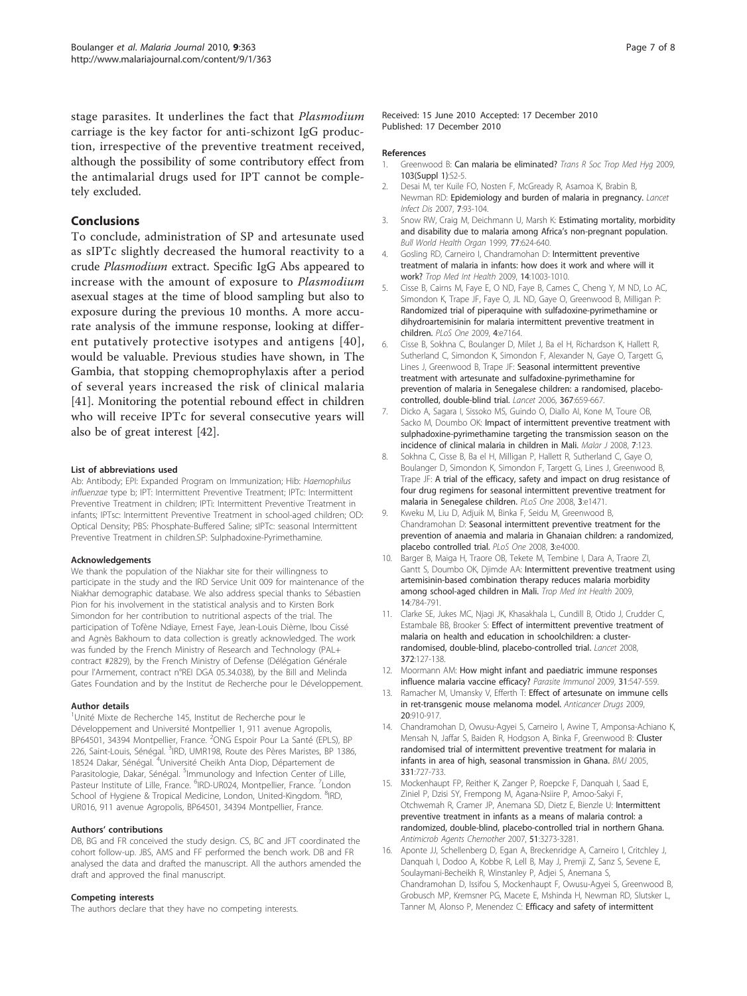<span id="page-6-0"></span>stage parasites. It underlines the fact that Plasmodium carriage is the key factor for anti-schizont IgG production, irrespective of the preventive treatment received, although the possibility of some contributory effect from the antimalarial drugs used for IPT cannot be completely excluded.

## **Conclusions**

To conclude, administration of SP and artesunate used as sIPTc slightly decreased the humoral reactivity to a crude Plasmodium extract. Specific IgG Abs appeared to increase with the amount of exposure to Plasmodium asexual stages at the time of blood sampling but also to exposure during the previous 10 months. A more accurate analysis of the immune response, looking at different putatively protective isotypes and antigens [[40\]](#page-7-0), would be valuable. Previous studies have shown, in The Gambia, that stopping chemoprophylaxis after a period of several years increased the risk of clinical malaria [[41\]](#page-7-0). Monitoring the potential rebound effect in children who will receive IPTc for several consecutive years will also be of great interest [[42\]](#page-7-0).

#### List of abbreviations used

Ab: Antibody; EPI: Expanded Program on Immunization; Hib: Haemophilus influenzae type b; IPT: Intermittent Preventive Treatment; IPTc: Intermittent Preventive Treatment in children; IPTi: Intermittent Preventive Treatment in infants; IPTsc: Intermittent Preventive Treatment in school-aged children; OD: Optical Density; PBS: Phosphate-Buffered Saline; sIPTc: seasonal Intermittent Preventive Treatment in children.SP: Sulphadoxine-Pyrimethamine.

#### Acknowledgements

We thank the population of the Niakhar site for their willingness to participate in the study and the IRD Service Unit 009 for maintenance of the Niakhar demographic database. We also address special thanks to Sébastien Pion for his involvement in the statistical analysis and to Kirsten Bork Simondon for her contribution to nutritional aspects of the trial. The participation of Tofène Ndiaye, Ernest Faye, Jean-Louis Dième, Ibou Cissé and Agnès Bakhoum to data collection is greatly acknowledged. The work was funded by the French Ministry of Research and Technology (PAL+ contract #2829), by the French Ministry of Defense (Délégation Générale pour l'Armement, contract n°REI DGA 05.34.038), by the Bill and Melinda Gates Foundation and by the Institut de Recherche pour le Développement.

#### Author details

<sup>1</sup>Unité Mixte de Recherche 145, Institut de Recherche pour le Développement and Université Montpellier 1, 911 avenue Agropolis, BP64501, 34394 Montpellier, France. <sup>2</sup>ONG Espoir Pour La Santé (EPLS), BP 226, Saint-Louis, Sénégal. <sup>3</sup>IRD, UMR198, Route des Pères Maristes, BP 1386, 18524 Dakar, Sénégal. <sup>4</sup>Université Cheikh Anta Diop, Département de Parasitologie, Dakar, Sénégal. <sup>5</sup>Immunology and Infection Center of Lille, Pasteur Institute of Lille, France. <sup>6</sup>IRD-UR024, Montpellier, France. <sup>7</sup>London School of Hygiene & Tropical Medicine, London, United-Kingdom. <sup>8</sup>IRD, UR016, 911 avenue Agropolis, BP64501, 34394 Montpellier, France.

#### Authors' contributions

DB, BG and FR conceived the study design. CS, BC and JFT coordinated the cohort follow-up. JBS, AMS and FF performed the bench work. DB and FR analysed the data and drafted the manuscript. All the authors amended the draft and approved the final manuscript.

#### Competing interests

The authors declare that they have no competing interests.

Received: 15 June 2010 Accepted: 17 December 2010 Published: 17 December 2010

#### References

- 1. Greenwood B: [Can malaria be eliminated?](http://www.ncbi.nlm.nih.gov/pubmed/19062058?dopt=Abstract) Trans R Soc Trop Med Hyg 2009, 103(Suppl 1):S2-5.
- 2. Desai M, ter Kuile FO, Nosten F, McGready R, Asamoa K, Brabin B, Newman RD: [Epidemiology and burden of malaria in pregnancy.](http://www.ncbi.nlm.nih.gov/pubmed/17251080?dopt=Abstract) Lancet Infect Dis 2007, 7:93-104.
- 3. Snow RW, Craig M, Deichmann U, Marsh K: [Estimating mortality, morbidity](http://www.ncbi.nlm.nih.gov/pubmed/10516785?dopt=Abstract) [and disability due to malaria among Africa](http://www.ncbi.nlm.nih.gov/pubmed/10516785?dopt=Abstract)'s non-pregnant population. Bull World Health Organ 1999, 77:624-640.
- 4. Gosling RD, Carneiro I, Chandramohan D: [Intermittent preventive](http://www.ncbi.nlm.nih.gov/pubmed/19558374?dopt=Abstract) [treatment of malaria in infants: how does it work and where will it](http://www.ncbi.nlm.nih.gov/pubmed/19558374?dopt=Abstract) [work?](http://www.ncbi.nlm.nih.gov/pubmed/19558374?dopt=Abstract) Trop Med Int Health 2009, 14:1003-1010.
- 5. Cisse B, Cairns M, Faye E, O ND, Faye B, Cames C, Cheng Y, M ND, Lo AC, Simondon K, Trape JF, Faye O, JL ND, Gaye O, Greenwood B, Milligan P: [Randomized trial of piperaquine with sulfadoxine-pyrimethamine or](http://www.ncbi.nlm.nih.gov/pubmed/19784374?dopt=Abstract) [dihydroartemisinin for malaria intermittent preventive treatment in](http://www.ncbi.nlm.nih.gov/pubmed/19784374?dopt=Abstract) [children.](http://www.ncbi.nlm.nih.gov/pubmed/19784374?dopt=Abstract) PLoS One 2009, 4:e7164.
- 6. Cisse B, Sokhna C, Boulanger D, Milet J, Ba el H, Richardson K, Hallett R, Sutherland C, Simondon K, Simondon F, Alexander N, Gaye O, Targett G, Lines J, Greenwood B, Trape JF: [Seasonal intermittent preventive](http://www.ncbi.nlm.nih.gov/pubmed/16503464?dopt=Abstract) [treatment with artesunate and sulfadoxine-pyrimethamine for](http://www.ncbi.nlm.nih.gov/pubmed/16503464?dopt=Abstract) [prevention of malaria in Senegalese children: a randomised, placebo](http://www.ncbi.nlm.nih.gov/pubmed/16503464?dopt=Abstract)[controlled, double-blind trial.](http://www.ncbi.nlm.nih.gov/pubmed/16503464?dopt=Abstract) Lancet 2006, 367:659-667.
- 7. Dicko A, Sagara I, Sissoko MS, Guindo O, Diallo AI, Kone M, Toure OB, Sacko M, Doumbo OK: [Impact of intermittent preventive treatment with](http://www.ncbi.nlm.nih.gov/pubmed/18611271?dopt=Abstract) [sulphadoxine-pyrimethamine targeting the transmission season on the](http://www.ncbi.nlm.nih.gov/pubmed/18611271?dopt=Abstract) [incidence of clinical malaria in children in Mali.](http://www.ncbi.nlm.nih.gov/pubmed/18611271?dopt=Abstract) Malar J 2008, 7:123.
- 8. Sokhna C, Cisse B, Ba el H, Milligan P, Hallett R, Sutherland C, Gaye O, Boulanger D, Simondon K, Simondon F, Targett G, Lines J, Greenwood B, Trape JF: [A trial of the efficacy, safety and impact on drug resistance of](http://www.ncbi.nlm.nih.gov/pubmed/18213379?dopt=Abstract) [four drug regimens for seasonal intermittent preventive treatment for](http://www.ncbi.nlm.nih.gov/pubmed/18213379?dopt=Abstract) [malaria in Senegalese children.](http://www.ncbi.nlm.nih.gov/pubmed/18213379?dopt=Abstract) PLoS One 2008, 3:e1471.
- 9. Kweku M, Liu D, Adjuik M, Binka F, Seidu M, Greenwood B, Chandramohan D: [Seasonal intermittent preventive treatment for the](http://www.ncbi.nlm.nih.gov/pubmed/19098989?dopt=Abstract) [prevention of anaemia and malaria in Ghanaian children: a randomized,](http://www.ncbi.nlm.nih.gov/pubmed/19098989?dopt=Abstract) [placebo controlled trial.](http://www.ncbi.nlm.nih.gov/pubmed/19098989?dopt=Abstract) PLoS One 2008, 3:e4000.
- 10. Barger B, Maiga H, Traore OB, Tekete M, Tembine I, Dara A, Traore ZI, Gantt S, Doumbo OK, Djimde AA: [Intermittent preventive treatment using](http://www.ncbi.nlm.nih.gov/pubmed/19497079?dopt=Abstract) [artemisinin-based combination therapy reduces malaria morbidity](http://www.ncbi.nlm.nih.gov/pubmed/19497079?dopt=Abstract) [among school-aged children in Mali.](http://www.ncbi.nlm.nih.gov/pubmed/19497079?dopt=Abstract) Trop Med Int Health 2009, 14:784-791.
- 11. Clarke SE, Jukes MC, Njagi JK, Khasakhala L, Cundill B, Otido J, Crudder C, Estambale BB, Brooker S: [Effect of intermittent preventive treatment of](http://www.ncbi.nlm.nih.gov/pubmed/18620950?dopt=Abstract) [malaria on health and education in schoolchildren: a cluster](http://www.ncbi.nlm.nih.gov/pubmed/18620950?dopt=Abstract)[randomised, double-blind, placebo-controlled trial.](http://www.ncbi.nlm.nih.gov/pubmed/18620950?dopt=Abstract) Lancet 2008, 372:127-138.
- 12. Moormann AM: [How might infant and paediatric immune responses](http://www.ncbi.nlm.nih.gov/pubmed/19691558?dopt=Abstract) [influence malaria vaccine efficacy?](http://www.ncbi.nlm.nih.gov/pubmed/19691558?dopt=Abstract) Parasite Immunol 2009, 31:547-559.
- 13. Ramacher M, Umansky V, Efferth T: [Effect of artesunate on immune cells](http://www.ncbi.nlm.nih.gov/pubmed/19745721?dopt=Abstract) [in ret-transgenic mouse melanoma model.](http://www.ncbi.nlm.nih.gov/pubmed/19745721?dopt=Abstract) Anticancer Drugs 2009, 20:910-917.
- 14. Chandramohan D, Owusu-Agyei S, Carneiro I, Awine T, Amponsa-Achiano K, Mensah N, Jaffar S, Baiden R, Hodgson A, Binka F, Greenwood B: [Cluster](http://www.ncbi.nlm.nih.gov/pubmed/16195288?dopt=Abstract) [randomised trial of intermittent preventive treatment for malaria in](http://www.ncbi.nlm.nih.gov/pubmed/16195288?dopt=Abstract) [infants in area of high, seasonal transmission in Ghana.](http://www.ncbi.nlm.nih.gov/pubmed/16195288?dopt=Abstract) BMJ 2005, 331:727-733.
- 15. Mockenhaupt FP, Reither K, Zanger P, Roepcke F, Danquah I, Saad E, Ziniel P, Dzisi SY, Frempong M, Agana-Nsiire P, Amoo-Sakyi F, Otchwemah R, Cramer JP, Anemana SD, Dietz E, Bienzle U: [Intermittent](http://www.ncbi.nlm.nih.gov/pubmed/17638703?dopt=Abstract) [preventive treatment in infants as a means of malaria control: a](http://www.ncbi.nlm.nih.gov/pubmed/17638703?dopt=Abstract) [randomized, double-blind, placebo-controlled trial in northern Ghana.](http://www.ncbi.nlm.nih.gov/pubmed/17638703?dopt=Abstract) Antimicrob Agents Chemother 2007, 51:3273-3281.
- 16. Aponte JJ, Schellenberg D, Egan A, Breckenridge A, Carneiro I, Critchley J, Danquah I, Dodoo A, Kobbe R, Lell B, May J, Premji Z, Sanz S, Sevene E, Soulaymani-Becheikh R, Winstanley P, Adjei S, Anemana S, Chandramohan D, Issifou S, Mockenhaupt F, Owusu-Agyei S, Greenwood B, Grobusch MP, Kremsner PG, Macete E, Mshinda H, Newman RD, Slutsker L, Tanner M, Alonso P, Menendez C: [Efficacy and safety of intermittent](http://www.ncbi.nlm.nih.gov/pubmed/19765816?dopt=Abstract)